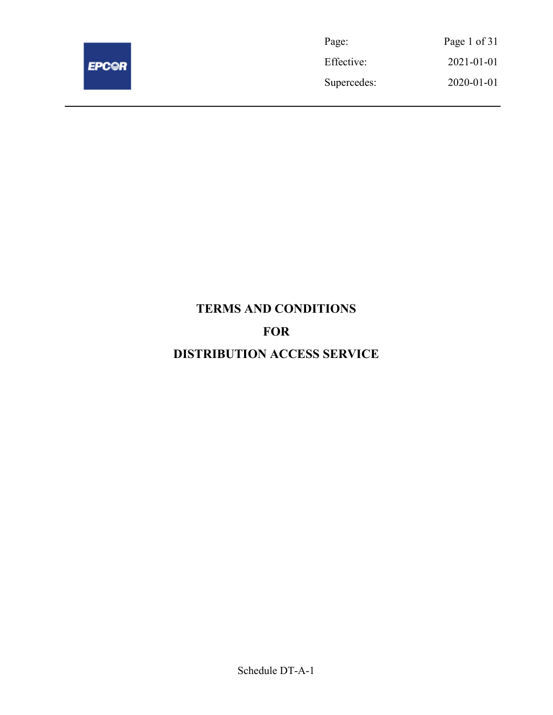

Page: Page 1 of 31 Effective: 2021-01-01 Supercedes: 2020-01-01

# TERMS AND CONDITIONS FOR DISTRIBUTION ACCESS SERVICE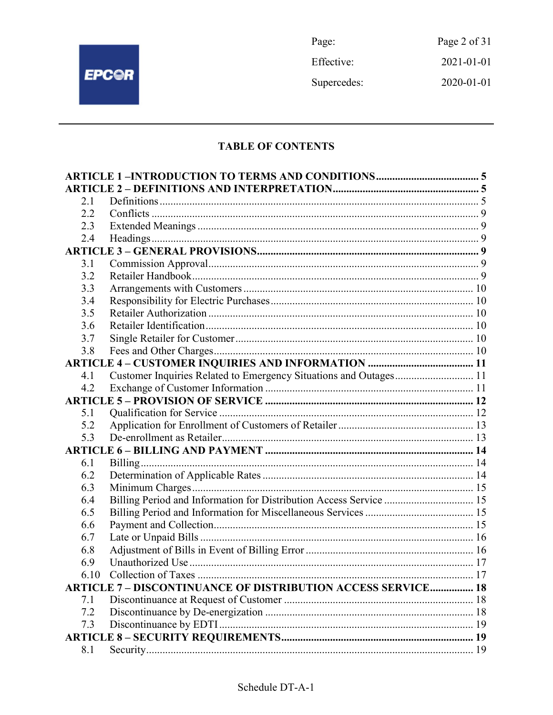

Page: Page 2 of 31 Effective: 2021-01-01 Supercedes: 2020-01-01

## **TABLE OF CONTENTS**

| 2.1  |                                                                    |  |
|------|--------------------------------------------------------------------|--|
| 2.2  |                                                                    |  |
| 2.3  |                                                                    |  |
| 2.4  |                                                                    |  |
|      |                                                                    |  |
| 3.1  |                                                                    |  |
| 3.2  |                                                                    |  |
| 3.3  |                                                                    |  |
| 3.4  |                                                                    |  |
| 3.5  |                                                                    |  |
| 3.6  |                                                                    |  |
| 3.7  |                                                                    |  |
| 3.8  |                                                                    |  |
|      |                                                                    |  |
| 4.1  | Customer Inquiries Related to Emergency Situations and Outages 11  |  |
| 4.2  |                                                                    |  |
|      |                                                                    |  |
| 5.1  |                                                                    |  |
| 5.2  |                                                                    |  |
| 5.3  |                                                                    |  |
|      |                                                                    |  |
| 6.1  |                                                                    |  |
| 6.2  |                                                                    |  |
| 6.3  |                                                                    |  |
| 6.4  | Billing Period and Information for Distribution Access Service  15 |  |
| 6.5  |                                                                    |  |
| 6.6  |                                                                    |  |
| 6.7  |                                                                    |  |
| 6.8  |                                                                    |  |
| 6.9  |                                                                    |  |
| 6.10 |                                                                    |  |
|      | <b>ARTICLE 7- DISCONTINUANCE OF DISTRIBUTION ACCESS SERVICE 18</b> |  |
| 7.1  |                                                                    |  |
| 7.2  |                                                                    |  |
| 7.3  |                                                                    |  |
|      |                                                                    |  |
| 8.1  |                                                                    |  |
|      |                                                                    |  |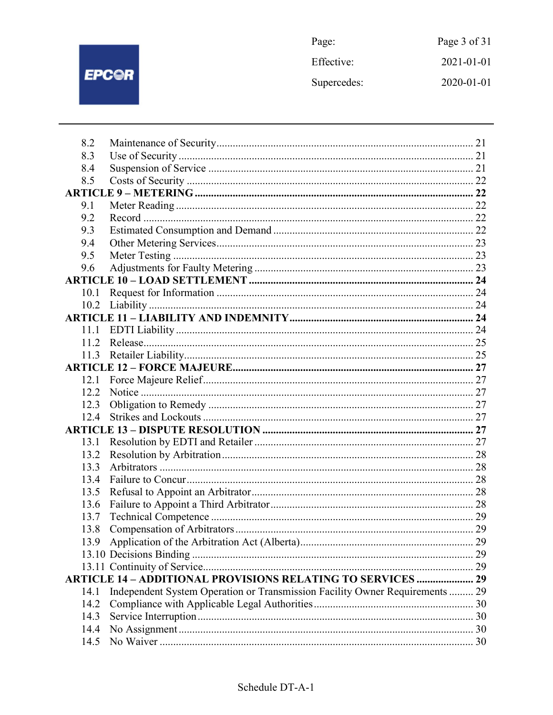

Page: Page 3 of 31 Effective: 2021-01-01 Supercedes:  $2020 - 01 - 01$ 

| 8.2  |                                                                              |  |
|------|------------------------------------------------------------------------------|--|
| 8.3  |                                                                              |  |
| 8.4  |                                                                              |  |
| 8.5  |                                                                              |  |
|      |                                                                              |  |
| 9.1  |                                                                              |  |
| 9.2  |                                                                              |  |
| 9.3  |                                                                              |  |
| 9.4  |                                                                              |  |
| 9.5  |                                                                              |  |
| 9.6  |                                                                              |  |
|      |                                                                              |  |
| 10.1 |                                                                              |  |
| 10.2 |                                                                              |  |
|      |                                                                              |  |
|      |                                                                              |  |
| 11.2 |                                                                              |  |
| 11.3 |                                                                              |  |
|      |                                                                              |  |
| 12.1 |                                                                              |  |
| 12.2 |                                                                              |  |
| 12.3 |                                                                              |  |
| 12.4 |                                                                              |  |
|      |                                                                              |  |
| 13.1 |                                                                              |  |
| 13.2 |                                                                              |  |
| 13.3 |                                                                              |  |
| 13.4 |                                                                              |  |
| 13.5 |                                                                              |  |
| 13.6 |                                                                              |  |
| 13.7 |                                                                              |  |
| 13.8 |                                                                              |  |
|      |                                                                              |  |
|      |                                                                              |  |
|      |                                                                              |  |
|      | <b>ARTICLE 14 - ADDITIONAL PROVISIONS RELATING TO SERVICES  29</b>           |  |
| 14.1 | Independent System Operation or Transmission Facility Owner Requirements  29 |  |
| 14.2 |                                                                              |  |
| 14.3 |                                                                              |  |
| 14.4 |                                                                              |  |
| 14.5 |                                                                              |  |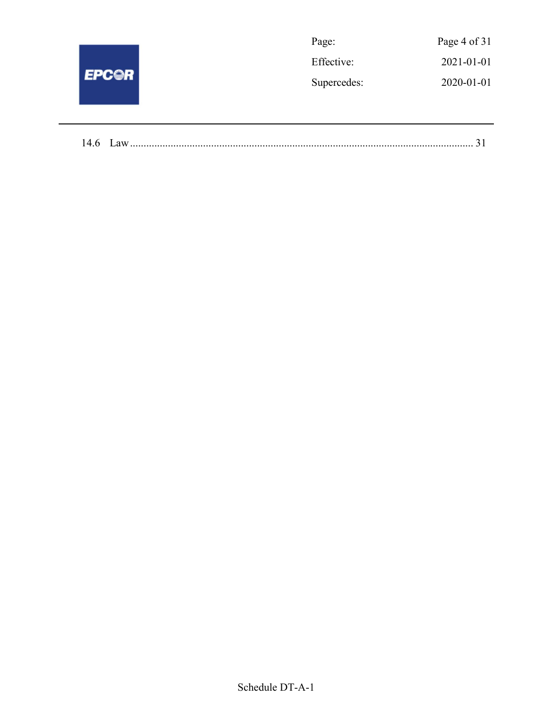| <b>EPC@R</b> | Page:       | Page 4 of 31 |
|--------------|-------------|--------------|
|              | Effective:  | 2021-01-01   |
|              | Supercedes: | 2020-01-01   |
|              |             |              |

| 14.6 | ل در ۱۳۵۰، ۱۳۵۰، ۱۳۵۰، ۱۳۵۰، ۱۳۵۰، ۱۳۵۰، ۱۳۵۰، ۱۳۵۰، ۱۳۵۰، ۱۳۵۰، ۱۳۵۰، ۱۳۵۰، ۱۳۵۰، ۱۳۵۰، ۱۳۵۰، ۱۳۵۰، ۱۳۵۰، ۱۳ |
|------|---------------------------------------------------------------------------------------------------------------|
|------|---------------------------------------------------------------------------------------------------------------|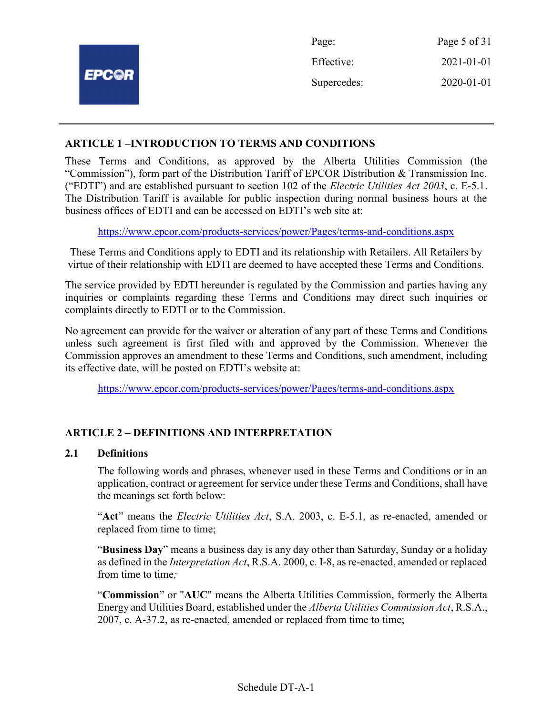|              | Page:       | Page 5 of 31 |
|--------------|-------------|--------------|
|              | Effective:  | 2021-01-01   |
| <b>EPCOR</b> | Supercedes: | 2020-01-01   |
|              |             |              |

## ARTICLE 1 –INTRODUCTION TO TERMS AND CONDITIONS

These Terms and Conditions, as approved by the Alberta Utilities Commission (the "Commission"), form part of the Distribution Tariff of EPCOR Distribution & Transmission Inc. ("EDTI") and are established pursuant to section 102 of the *Electric Utilities Act 2003*, c. E-5.1. The Distribution Tariff is available for public inspection during normal business hours at the business offices of EDTI and can be accessed on EDTI's web site at:

https://www.epcor.com/products-services/power/Pages/terms-and-conditions.aspx

These Terms and Conditions apply to EDTI and its relationship with Retailers. All Retailers by virtue of their relationship with EDTI are deemed to have accepted these Terms and Conditions.

The service provided by EDTI hereunder is regulated by the Commission and parties having any inquiries or complaints regarding these Terms and Conditions may direct such inquiries or complaints directly to EDTI or to the Commission.

No agreement can provide for the waiver or alteration of any part of these Terms and Conditions unless such agreement is first filed with and approved by the Commission. Whenever the Commission approves an amendment to these Terms and Conditions, such amendment, including its effective date, will be posted on EDTI's website at:

https://www.epcor.com/products-services/power/Pages/terms-and-conditions.aspx

## ARTICLE 2 – DEFINITIONS AND INTERPRETATION

## 2.1 Definitions

The following words and phrases, whenever used in these Terms and Conditions or in an application, contract or agreement for service under these Terms and Conditions, shall have the meanings set forth below:

"Act" means the Electric Utilities Act, S.A. 2003, c. E-5.1, as re-enacted, amended or replaced from time to time;

"Business Day" means a business day is any day other than Saturday, Sunday or a holiday as defined in the Interpretation Act, R.S.A. 2000, c. I-8, as re-enacted, amended or replaced from time to time;

"Commission" or "AUC" means the Alberta Utilities Commission, formerly the Alberta Energy and Utilities Board, established under the Alberta Utilities Commission Act, R.S.A., 2007, c. A-37.2, as re-enacted, amended or replaced from time to time;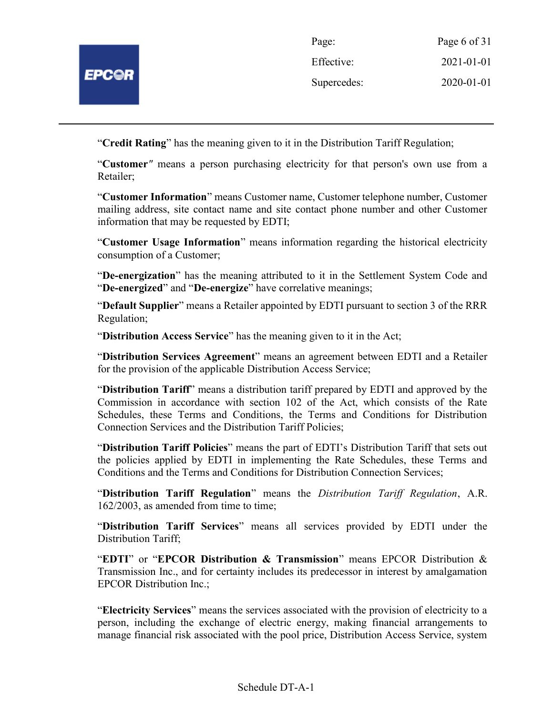

| Page:       | Page 6 of 31 |
|-------------|--------------|
| Effective:  | 2021-01-01   |
| Supercedes: | 2020-01-01   |

"Credit Rating" has the meaning given to it in the Distribution Tariff Regulation;

"Customer" means a person purchasing electricity for that person's own use from a Retailer;

"Customer Information" means Customer name, Customer telephone number, Customer mailing address, site contact name and site contact phone number and other Customer information that may be requested by EDTI;

"Customer Usage Information" means information regarding the historical electricity consumption of a Customer;

"De-energization" has the meaning attributed to it in the Settlement System Code and "De-energized" and "De-energize" have correlative meanings;

"Default Supplier" means a Retailer appointed by EDTI pursuant to section 3 of the RRR Regulation;

"Distribution Access Service" has the meaning given to it in the Act;

"Distribution Services Agreement" means an agreement between EDTI and a Retailer for the provision of the applicable Distribution Access Service;

"Distribution Tariff" means a distribution tariff prepared by EDTI and approved by the Commission in accordance with section 102 of the Act, which consists of the Rate Schedules, these Terms and Conditions, the Terms and Conditions for Distribution Connection Services and the Distribution Tariff Policies;

"Distribution Tariff Policies" means the part of EDTI's Distribution Tariff that sets out the policies applied by EDTI in implementing the Rate Schedules, these Terms and Conditions and the Terms and Conditions for Distribution Connection Services;

"Distribution Tariff Regulation" means the Distribution Tariff Regulation, A.R. 162/2003, as amended from time to time;

"Distribution Tariff Services" means all services provided by EDTI under the Distribution Tariff;

"EDTI" or "EPCOR Distribution & Transmission" means EPCOR Distribution & Transmission Inc., and for certainty includes its predecessor in interest by amalgamation EPCOR Distribution Inc.;

"Electricity Services" means the services associated with the provision of electricity to a person, including the exchange of electric energy, making financial arrangements to manage financial risk associated with the pool price, Distribution Access Service, system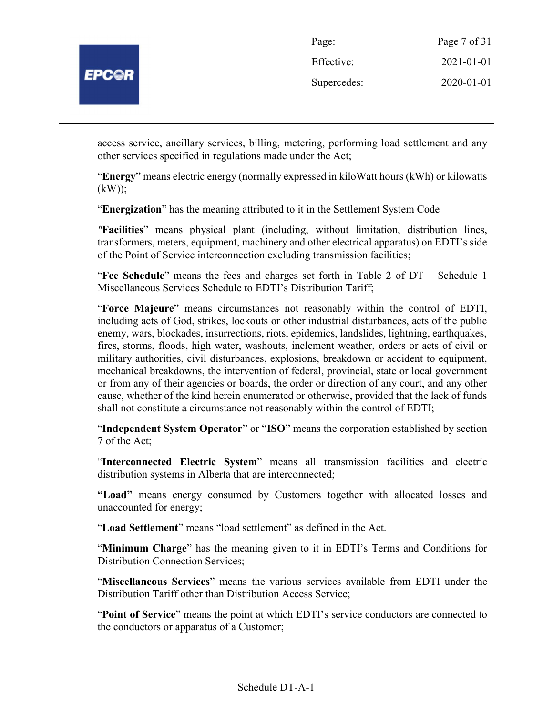

| Page:       | Page 7 of 31 |
|-------------|--------------|
| Effective:  | 2021-01-01   |
| Supercedes: | 2020-01-01   |

access service, ancillary services, billing, metering, performing load settlement and any other services specified in regulations made under the Act;

"Energy" means electric energy (normally expressed in kiloWatt hours (kWh) or kilowatts (kW));

"Energization" has the meaning attributed to it in the Settlement System Code

"Facilities" means physical plant (including, without limitation, distribution lines, transformers, meters, equipment, machinery and other electrical apparatus) on EDTI's side of the Point of Service interconnection excluding transmission facilities;

"Fee Schedule" means the fees and charges set forth in Table 2 of DT – Schedule 1 Miscellaneous Services Schedule to EDTI's Distribution Tariff;

"Force Majeure" means circumstances not reasonably within the control of EDTI, including acts of God, strikes, lockouts or other industrial disturbances, acts of the public enemy, wars, blockades, insurrections, riots, epidemics, landslides, lightning, earthquakes, fires, storms, floods, high water, washouts, inclement weather, orders or acts of civil or military authorities, civil disturbances, explosions, breakdown or accident to equipment, mechanical breakdowns, the intervention of federal, provincial, state or local government or from any of their agencies or boards, the order or direction of any court, and any other cause, whether of the kind herein enumerated or otherwise, provided that the lack of funds shall not constitute a circumstance not reasonably within the control of EDTI;

"Independent System Operator" or "ISO" means the corporation established by section 7 of the Act;

"Interconnected Electric System" means all transmission facilities and electric distribution systems in Alberta that are interconnected;

"Load" means energy consumed by Customers together with allocated losses and unaccounted for energy;

"Load Settlement" means "load settlement" as defined in the Act.

"Minimum Charge" has the meaning given to it in EDTI's Terms and Conditions for Distribution Connection Services;

"Miscellaneous Services" means the various services available from EDTI under the Distribution Tariff other than Distribution Access Service;

"Point of Service" means the point at which EDTI's service conductors are connected to the conductors or apparatus of a Customer;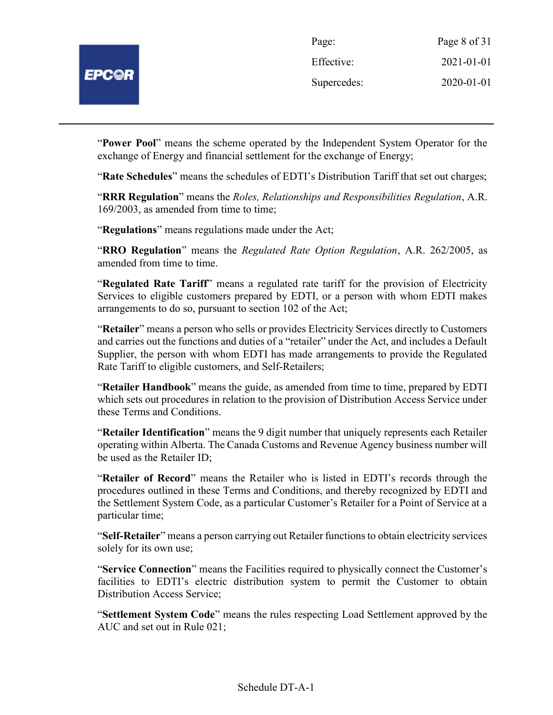| Page:       | Page 8 of 31 |
|-------------|--------------|
| Effective:  | 2021-01-01   |
| Supercedes: | 2020-01-01   |

"Power Pool" means the scheme operated by the Independent System Operator for the exchange of Energy and financial settlement for the exchange of Energy;

"Rate Schedules" means the schedules of EDTI's Distribution Tariff that set out charges;

"RRR Regulation" means the Roles, Relationships and Responsibilities Regulation, A.R. 169/2003, as amended from time to time;

"Regulations" means regulations made under the Act;

"RRO Regulation" means the Regulated Rate Option Regulation, A.R. 262/2005, as amended from time to time.

"Regulated Rate Tariff" means a regulated rate tariff for the provision of Electricity Services to eligible customers prepared by EDTI, or a person with whom EDTI makes arrangements to do so, pursuant to section 102 of the Act;

"Retailer" means a person who sells or provides Electricity Services directly to Customers and carries out the functions and duties of a "retailer" under the Act, and includes a Default Supplier, the person with whom EDTI has made arrangements to provide the Regulated Rate Tariff to eligible customers, and Self-Retailers;

"Retailer Handbook" means the guide, as amended from time to time, prepared by EDTI which sets out procedures in relation to the provision of Distribution Access Service under these Terms and Conditions.

"Retailer Identification" means the 9 digit number that uniquely represents each Retailer operating within Alberta. The Canada Customs and Revenue Agency business number will be used as the Retailer ID;

"Retailer of Record" means the Retailer who is listed in EDTI's records through the procedures outlined in these Terms and Conditions, and thereby recognized by EDTI and the Settlement System Code, as a particular Customer's Retailer for a Point of Service at a particular time;

"Self-Retailer" means a person carrying out Retailer functions to obtain electricity services solely for its own use;

"Service Connection" means the Facilities required to physically connect the Customer's facilities to EDTI's electric distribution system to permit the Customer to obtain Distribution Access Service;

"Settlement System Code" means the rules respecting Load Settlement approved by the AUC and set out in Rule 021;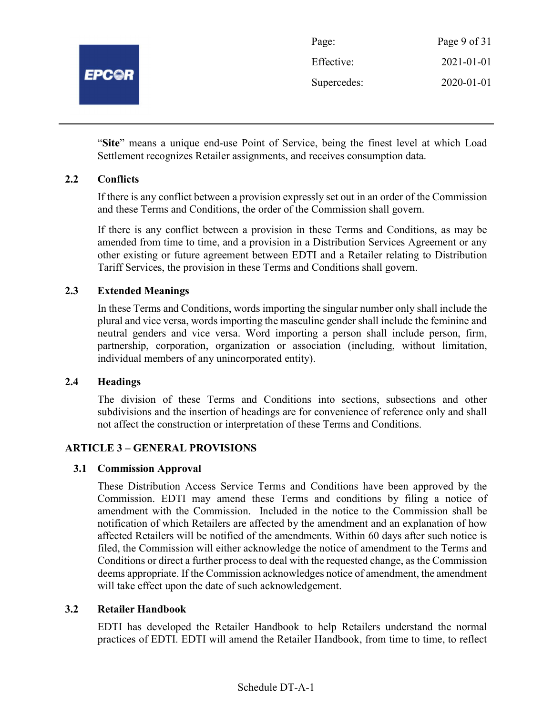

| Page:       | Page 9 of 31 |
|-------------|--------------|
| Effective:  | 2021-01-01   |
| Supercedes: | 2020-01-01   |

"Site" means a unique end-use Point of Service, being the finest level at which Load Settlement recognizes Retailer assignments, and receives consumption data.

## 2.2 Conflicts

If there is any conflict between a provision expressly set out in an order of the Commission and these Terms and Conditions, the order of the Commission shall govern.

If there is any conflict between a provision in these Terms and Conditions, as may be amended from time to time, and a provision in a Distribution Services Agreement or any other existing or future agreement between EDTI and a Retailer relating to Distribution Tariff Services, the provision in these Terms and Conditions shall govern.

## 2.3 Extended Meanings

In these Terms and Conditions, words importing the singular number only shall include the plural and vice versa, words importing the masculine gender shall include the feminine and neutral genders and vice versa. Word importing a person shall include person, firm, partnership, corporation, organization or association (including, without limitation, individual members of any unincorporated entity).

## 2.4 Headings

The division of these Terms and Conditions into sections, subsections and other subdivisions and the insertion of headings are for convenience of reference only and shall not affect the construction or interpretation of these Terms and Conditions.

## ARTICLE 3 – GENERAL PROVISIONS

## 3.1 Commission Approval

These Distribution Access Service Terms and Conditions have been approved by the Commission. EDTI may amend these Terms and conditions by filing a notice of amendment with the Commission. Included in the notice to the Commission shall be notification of which Retailers are affected by the amendment and an explanation of how affected Retailers will be notified of the amendments. Within 60 days after such notice is filed, the Commission will either acknowledge the notice of amendment to the Terms and Conditions or direct a further process to deal with the requested change, as the Commission deems appropriate. If the Commission acknowledges notice of amendment, the amendment will take effect upon the date of such acknowledgement.

## 3.2 Retailer Handbook

EDTI has developed the Retailer Handbook to help Retailers understand the normal practices of EDTI. EDTI will amend the Retailer Handbook, from time to time, to reflect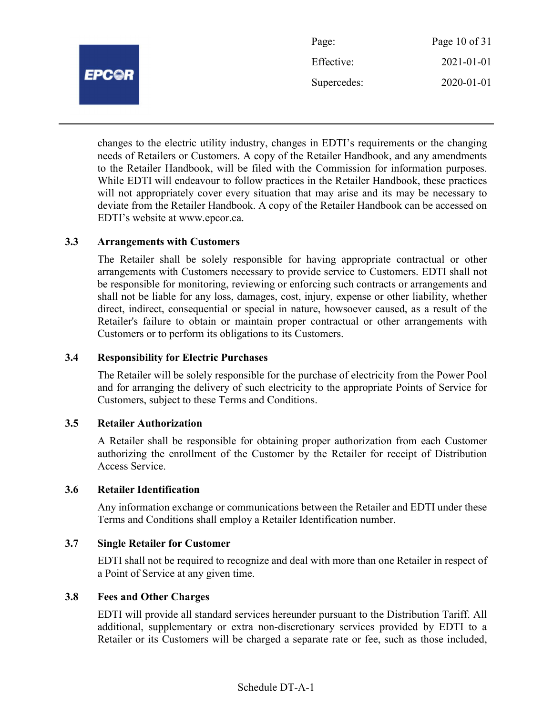

| Page:       | Page $10$ of $31$ |
|-------------|-------------------|
| Effective:  | 2021-01-01        |
| Supercedes: | $2020 - 01 - 01$  |

changes to the electric utility industry, changes in EDTI's requirements or the changing needs of Retailers or Customers. A copy of the Retailer Handbook, and any amendments to the Retailer Handbook, will be filed with the Commission for information purposes. While EDTI will endeavour to follow practices in the Retailer Handbook, these practices will not appropriately cover every situation that may arise and its may be necessary to deviate from the Retailer Handbook. A copy of the Retailer Handbook can be accessed on EDTI's website at www.epcor.ca.

## 3.3 Arrangements with Customers

The Retailer shall be solely responsible for having appropriate contractual or other arrangements with Customers necessary to provide service to Customers. EDTI shall not be responsible for monitoring, reviewing or enforcing such contracts or arrangements and shall not be liable for any loss, damages, cost, injury, expense or other liability, whether direct, indirect, consequential or special in nature, howsoever caused, as a result of the Retailer's failure to obtain or maintain proper contractual or other arrangements with Customers or to perform its obligations to its Customers.

## 3.4 Responsibility for Electric Purchases

The Retailer will be solely responsible for the purchase of electricity from the Power Pool and for arranging the delivery of such electricity to the appropriate Points of Service for Customers, subject to these Terms and Conditions.

#### 3.5 Retailer Authorization

A Retailer shall be responsible for obtaining proper authorization from each Customer authorizing the enrollment of the Customer by the Retailer for receipt of Distribution Access Service.

#### 3.6 Retailer Identification

Any information exchange or communications between the Retailer and EDTI under these Terms and Conditions shall employ a Retailer Identification number.

## 3.7 Single Retailer for Customer

EDTI shall not be required to recognize and deal with more than one Retailer in respect of a Point of Service at any given time.

#### 3.8 Fees and Other Charges

EDTI will provide all standard services hereunder pursuant to the Distribution Tariff. All additional, supplementary or extra non-discretionary services provided by EDTI to a Retailer or its Customers will be charged a separate rate or fee, such as those included,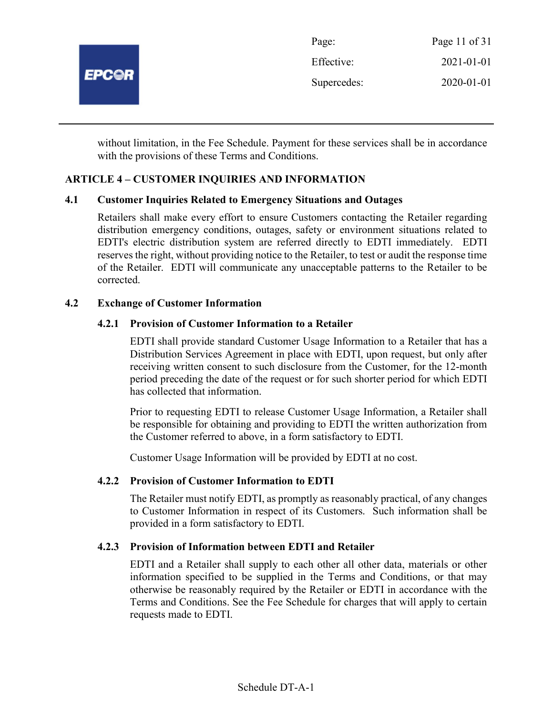

without limitation, in the Fee Schedule. Payment for these services shall be in accordance with the provisions of these Terms and Conditions.

## ARTICLE 4 – CUSTOMER INQUIRIES AND INFORMATION

## 4.1 Customer Inquiries Related to Emergency Situations and Outages

Retailers shall make every effort to ensure Customers contacting the Retailer regarding distribution emergency conditions, outages, safety or environment situations related to EDTI's electric distribution system are referred directly to EDTI immediately. EDTI reserves the right, without providing notice to the Retailer, to test or audit the response time of the Retailer. EDTI will communicate any unacceptable patterns to the Retailer to be corrected.

## 4.2 Exchange of Customer Information

## 4.2.1 Provision of Customer Information to a Retailer

EDTI shall provide standard Customer Usage Information to a Retailer that has a Distribution Services Agreement in place with EDTI, upon request, but only after receiving written consent to such disclosure from the Customer, for the 12-month period preceding the date of the request or for such shorter period for which EDTI has collected that information.

Prior to requesting EDTI to release Customer Usage Information, a Retailer shall be responsible for obtaining and providing to EDTI the written authorization from the Customer referred to above, in a form satisfactory to EDTI.

Customer Usage Information will be provided by EDTI at no cost.

## 4.2.2 Provision of Customer Information to EDTI

The Retailer must notify EDTI, as promptly as reasonably practical, of any changes to Customer Information in respect of its Customers. Such information shall be provided in a form satisfactory to EDTI.

## 4.2.3 Provision of Information between EDTI and Retailer

EDTI and a Retailer shall supply to each other all other data, materials or other information specified to be supplied in the Terms and Conditions, or that may otherwise be reasonably required by the Retailer or EDTI in accordance with the Terms and Conditions. See the Fee Schedule for charges that will apply to certain requests made to EDTI.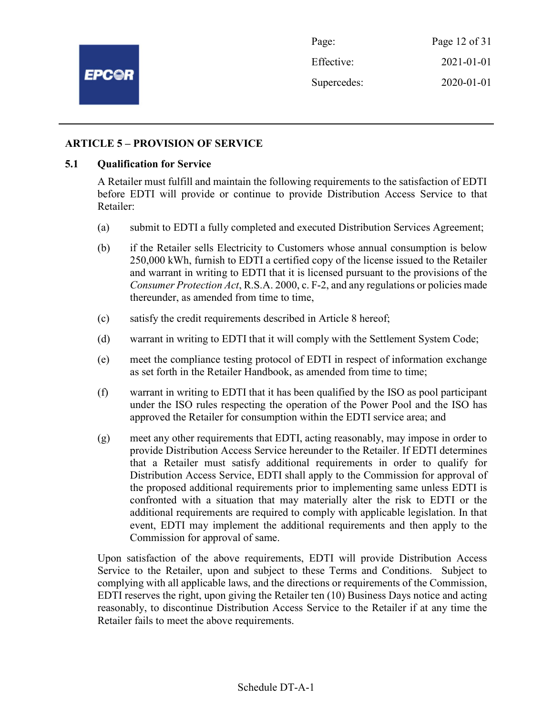

Page: Page 12 of 31 Effective: 2021-01-01 Supercedes: 2020-01-01

## ARTICLE 5 – PROVISION OF SERVICE

#### 5.1 Qualification for Service

A Retailer must fulfill and maintain the following requirements to the satisfaction of EDTI before EDTI will provide or continue to provide Distribution Access Service to that Retailer:

- (a) submit to EDTI a fully completed and executed Distribution Services Agreement;
- (b) if the Retailer sells Electricity to Customers whose annual consumption is below 250,000 kWh, furnish to EDTI a certified copy of the license issued to the Retailer and warrant in writing to EDTI that it is licensed pursuant to the provisions of the Consumer Protection Act, R.S.A. 2000, c. F-2, and any regulations or policies made thereunder, as amended from time to time,
- (c) satisfy the credit requirements described in Article 8 hereof;
- (d) warrant in writing to EDTI that it will comply with the Settlement System Code;
- (e) meet the compliance testing protocol of EDTI in respect of information exchange as set forth in the Retailer Handbook, as amended from time to time;
- (f) warrant in writing to EDTI that it has been qualified by the ISO as pool participant under the ISO rules respecting the operation of the Power Pool and the ISO has approved the Retailer for consumption within the EDTI service area; and
- (g) meet any other requirements that EDTI, acting reasonably, may impose in order to provide Distribution Access Service hereunder to the Retailer. If EDTI determines that a Retailer must satisfy additional requirements in order to qualify for Distribution Access Service, EDTI shall apply to the Commission for approval of the proposed additional requirements prior to implementing same unless EDTI is confronted with a situation that may materially alter the risk to EDTI or the additional requirements are required to comply with applicable legislation. In that event, EDTI may implement the additional requirements and then apply to the Commission for approval of same.

Upon satisfaction of the above requirements, EDTI will provide Distribution Access Service to the Retailer, upon and subject to these Terms and Conditions. Subject to complying with all applicable laws, and the directions or requirements of the Commission, EDTI reserves the right, upon giving the Retailer ten (10) Business Days notice and acting reasonably, to discontinue Distribution Access Service to the Retailer if at any time the Retailer fails to meet the above requirements.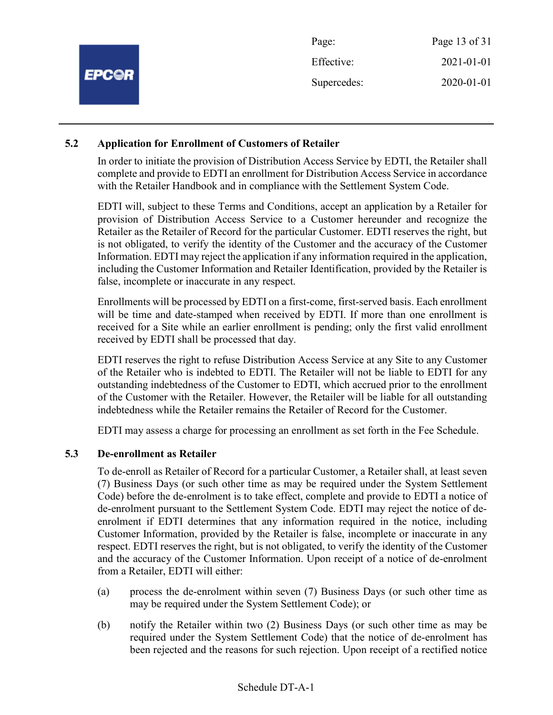| Page 13 of 31             |
|---------------------------|
| 2021-01-01<br>Effective:  |
| 2020-01-01<br>Supercedes: |
|                           |

## 5.2 Application for Enrollment of Customers of Retailer

In order to initiate the provision of Distribution Access Service by EDTI, the Retailer shall complete and provide to EDTI an enrollment for Distribution Access Service in accordance with the Retailer Handbook and in compliance with the Settlement System Code.

EDTI will, subject to these Terms and Conditions, accept an application by a Retailer for provision of Distribution Access Service to a Customer hereunder and recognize the Retailer as the Retailer of Record for the particular Customer. EDTI reserves the right, but is not obligated, to verify the identity of the Customer and the accuracy of the Customer Information. EDTI may reject the application if any information required in the application, including the Customer Information and Retailer Identification, provided by the Retailer is false, incomplete or inaccurate in any respect.

Enrollments will be processed by EDTI on a first-come, first-served basis. Each enrollment will be time and date-stamped when received by EDTI. If more than one enrollment is received for a Site while an earlier enrollment is pending; only the first valid enrollment received by EDTI shall be processed that day.

EDTI reserves the right to refuse Distribution Access Service at any Site to any Customer of the Retailer who is indebted to EDTI. The Retailer will not be liable to EDTI for any outstanding indebtedness of the Customer to EDTI, which accrued prior to the enrollment of the Customer with the Retailer. However, the Retailer will be liable for all outstanding indebtedness while the Retailer remains the Retailer of Record for the Customer.

EDTI may assess a charge for processing an enrollment as set forth in the Fee Schedule.

## 5.3 De-enrollment as Retailer

To de-enroll as Retailer of Record for a particular Customer, a Retailer shall, at least seven (7) Business Days (or such other time as may be required under the System Settlement Code) before the de-enrolment is to take effect, complete and provide to EDTI a notice of de-enrolment pursuant to the Settlement System Code. EDTI may reject the notice of deenrolment if EDTI determines that any information required in the notice, including Customer Information, provided by the Retailer is false, incomplete or inaccurate in any respect. EDTI reserves the right, but is not obligated, to verify the identity of the Customer and the accuracy of the Customer Information. Upon receipt of a notice of de-enrolment from a Retailer, EDTI will either:

- (a) process the de-enrolment within seven (7) Business Days (or such other time as may be required under the System Settlement Code); or
- (b) notify the Retailer within two (2) Business Days (or such other time as may be required under the System Settlement Code) that the notice of de-enrolment has been rejected and the reasons for such rejection. Upon receipt of a rectified notice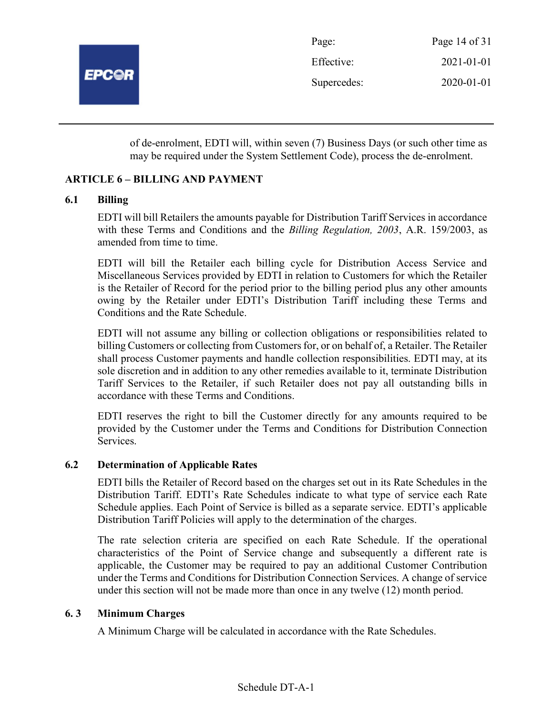

| Page:       | Page 14 of 31 |
|-------------|---------------|
| Effective:  | 2021-01-01    |
| Supercedes: | 2020-01-01    |

of de-enrolment, EDTI will, within seven (7) Business Days (or such other time as may be required under the System Settlement Code), process the de-enrolment.

## ARTICLE 6 – BILLING AND PAYMENT

## 6.1 Billing

EDTI will bill Retailers the amounts payable for Distribution Tariff Services in accordance with these Terms and Conditions and the *Billing Regulation*, 2003, A.R. 159/2003, as amended from time to time.

EDTI will bill the Retailer each billing cycle for Distribution Access Service and Miscellaneous Services provided by EDTI in relation to Customers for which the Retailer is the Retailer of Record for the period prior to the billing period plus any other amounts owing by the Retailer under EDTI's Distribution Tariff including these Terms and Conditions and the Rate Schedule.

EDTI will not assume any billing or collection obligations or responsibilities related to billing Customers or collecting from Customers for, or on behalf of, a Retailer. The Retailer shall process Customer payments and handle collection responsibilities. EDTI may, at its sole discretion and in addition to any other remedies available to it, terminate Distribution Tariff Services to the Retailer, if such Retailer does not pay all outstanding bills in accordance with these Terms and Conditions.

EDTI reserves the right to bill the Customer directly for any amounts required to be provided by the Customer under the Terms and Conditions for Distribution Connection Services.

## 6.2 Determination of Applicable Rates

EDTI bills the Retailer of Record based on the charges set out in its Rate Schedules in the Distribution Tariff. EDTI's Rate Schedules indicate to what type of service each Rate Schedule applies. Each Point of Service is billed as a separate service. EDTI's applicable Distribution Tariff Policies will apply to the determination of the charges.

The rate selection criteria are specified on each Rate Schedule. If the operational characteristics of the Point of Service change and subsequently a different rate is applicable, the Customer may be required to pay an additional Customer Contribution under the Terms and Conditions for Distribution Connection Services. A change of service under this section will not be made more than once in any twelve (12) month period.

## 6. 3 Minimum Charges

A Minimum Charge will be calculated in accordance with the Rate Schedules.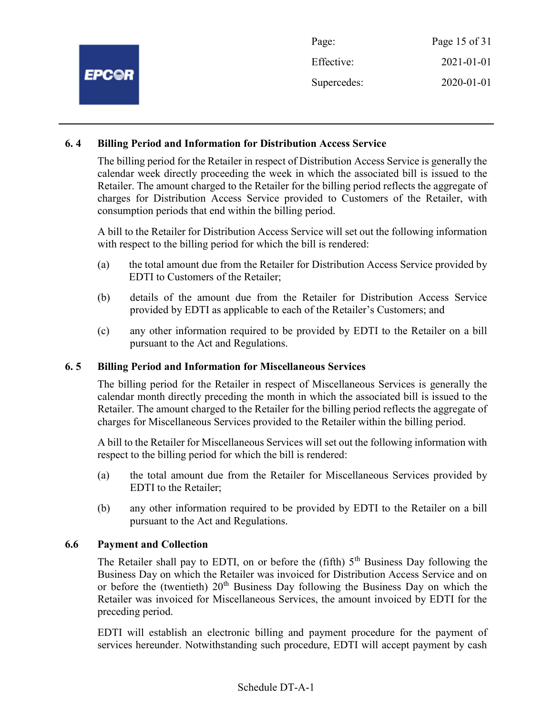| Page:       | Page 15 of 31 |
|-------------|---------------|
| Effective:  | 2021-01-01    |
| Supercedes: | 2020-01-01    |
|             |               |

## 6. 4 Billing Period and Information for Distribution Access Service

The billing period for the Retailer in respect of Distribution Access Service is generally the calendar week directly proceeding the week in which the associated bill is issued to the Retailer. The amount charged to the Retailer for the billing period reflects the aggregate of charges for Distribution Access Service provided to Customers of the Retailer, with consumption periods that end within the billing period.

A bill to the Retailer for Distribution Access Service will set out the following information with respect to the billing period for which the bill is rendered:

- (a) the total amount due from the Retailer for Distribution Access Service provided by EDTI to Customers of the Retailer;
- (b) details of the amount due from the Retailer for Distribution Access Service provided by EDTI as applicable to each of the Retailer's Customers; and
- (c) any other information required to be provided by EDTI to the Retailer on a bill pursuant to the Act and Regulations.

## 6. 5 Billing Period and Information for Miscellaneous Services

The billing period for the Retailer in respect of Miscellaneous Services is generally the calendar month directly preceding the month in which the associated bill is issued to the Retailer. The amount charged to the Retailer for the billing period reflects the aggregate of charges for Miscellaneous Services provided to the Retailer within the billing period.

A bill to the Retailer for Miscellaneous Services will set out the following information with respect to the billing period for which the bill is rendered:

- (a) the total amount due from the Retailer for Miscellaneous Services provided by EDTI to the Retailer;
- (b) any other information required to be provided by EDTI to the Retailer on a bill pursuant to the Act and Regulations.

## 6.6 Payment and Collection

The Retailer shall pay to EDTI, on or before the (fifth)  $5<sup>th</sup>$  Business Day following the Business Day on which the Retailer was invoiced for Distribution Access Service and on or before the (twentieth)  $20<sup>th</sup>$  Business Day following the Business Day on which the Retailer was invoiced for Miscellaneous Services, the amount invoiced by EDTI for the preceding period.

EDTI will establish an electronic billing and payment procedure for the payment of services hereunder. Notwithstanding such procedure, EDTI will accept payment by cash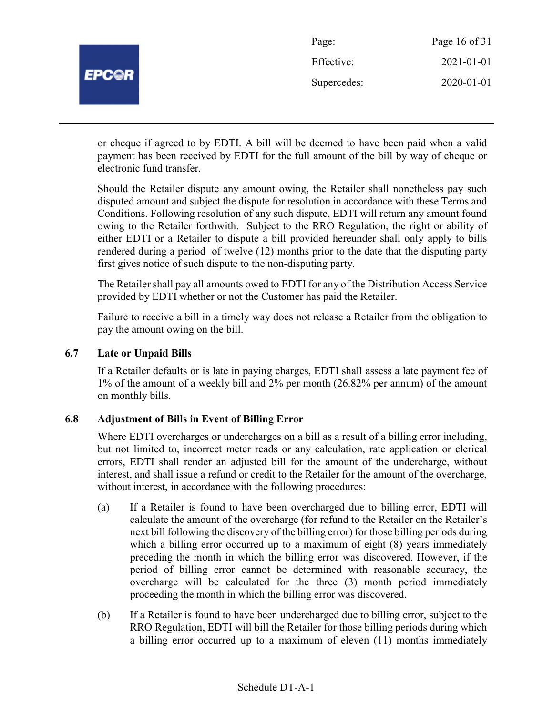| <b>EPC@R</b> | Page:       | Page 16 of 31 |
|--------------|-------------|---------------|
|              | Effective:  | 2021-01-01    |
|              | Supercedes: | 2020-01-01    |
|              |             |               |

or cheque if agreed to by EDTI. A bill will be deemed to have been paid when a valid payment has been received by EDTI for the full amount of the bill by way of cheque or electronic fund transfer.

Should the Retailer dispute any amount owing, the Retailer shall nonetheless pay such disputed amount and subject the dispute for resolution in accordance with these Terms and Conditions. Following resolution of any such dispute, EDTI will return any amount found owing to the Retailer forthwith. Subject to the RRO Regulation, the right or ability of either EDTI or a Retailer to dispute a bill provided hereunder shall only apply to bills rendered during a period of twelve (12) months prior to the date that the disputing party first gives notice of such dispute to the non-disputing party.

The Retailer shall pay all amounts owed to EDTI for any of the Distribution Access Service provided by EDTI whether or not the Customer has paid the Retailer.

Failure to receive a bill in a timely way does not release a Retailer from the obligation to pay the amount owing on the bill.

## 6.7 Late or Unpaid Bills

If a Retailer defaults or is late in paying charges, EDTI shall assess a late payment fee of 1% of the amount of a weekly bill and 2% per month (26.82% per annum) of the amount on monthly bills.

## 6.8 Adjustment of Bills in Event of Billing Error

Where EDTI overcharges or undercharges on a bill as a result of a billing error including, but not limited to, incorrect meter reads or any calculation, rate application or clerical errors, EDTI shall render an adjusted bill for the amount of the undercharge, without interest, and shall issue a refund or credit to the Retailer for the amount of the overcharge, without interest, in accordance with the following procedures:

- (a) If a Retailer is found to have been overcharged due to billing error, EDTI will calculate the amount of the overcharge (for refund to the Retailer on the Retailer's next bill following the discovery of the billing error) for those billing periods during which a billing error occurred up to a maximum of eight  $(8)$  years immediately preceding the month in which the billing error was discovered. However, if the period of billing error cannot be determined with reasonable accuracy, the overcharge will be calculated for the three (3) month period immediately proceeding the month in which the billing error was discovered.
- (b) If a Retailer is found to have been undercharged due to billing error, subject to the RRO Regulation, EDTI will bill the Retailer for those billing periods during which a billing error occurred up to a maximum of eleven (11) months immediately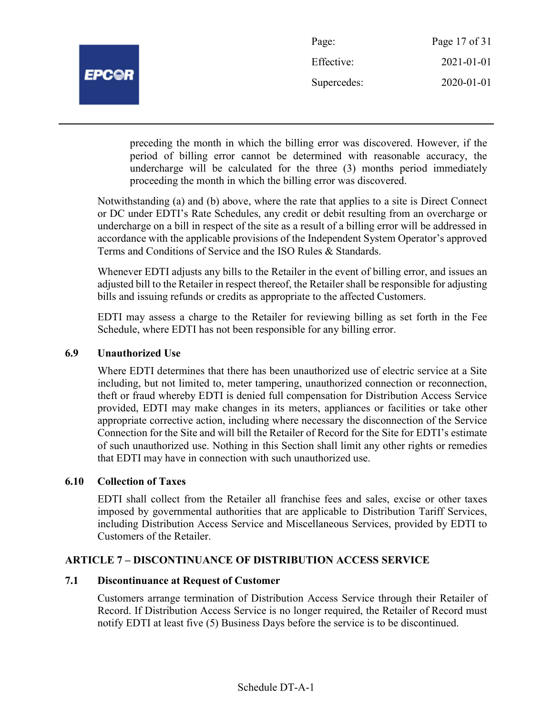

| Page:       | Page 17 of 31 |
|-------------|---------------|
| Effective:  | 2021-01-01    |
| Supercedes: | 2020-01-01    |

preceding the month in which the billing error was discovered. However, if the period of billing error cannot be determined with reasonable accuracy, the undercharge will be calculated for the three (3) months period immediately proceeding the month in which the billing error was discovered.

Notwithstanding (a) and (b) above, where the rate that applies to a site is Direct Connect or DC under EDTI's Rate Schedules, any credit or debit resulting from an overcharge or undercharge on a bill in respect of the site as a result of a billing error will be addressed in accordance with the applicable provisions of the Independent System Operator's approved Terms and Conditions of Service and the ISO Rules & Standards.

Whenever EDTI adjusts any bills to the Retailer in the event of billing error, and issues an adjusted bill to the Retailer in respect thereof, the Retailer shall be responsible for adjusting bills and issuing refunds or credits as appropriate to the affected Customers.

EDTI may assess a charge to the Retailer for reviewing billing as set forth in the Fee Schedule, where EDTI has not been responsible for any billing error.

## 6.9 Unauthorized Use

Where EDTI determines that there has been unauthorized use of electric service at a Site including, but not limited to, meter tampering, unauthorized connection or reconnection, theft or fraud whereby EDTI is denied full compensation for Distribution Access Service provided, EDTI may make changes in its meters, appliances or facilities or take other appropriate corrective action, including where necessary the disconnection of the Service Connection for the Site and will bill the Retailer of Record for the Site for EDTI's estimate of such unauthorized use. Nothing in this Section shall limit any other rights or remedies that EDTI may have in connection with such unauthorized use.

## 6.10 Collection of Taxes

EDTI shall collect from the Retailer all franchise fees and sales, excise or other taxes imposed by governmental authorities that are applicable to Distribution Tariff Services, including Distribution Access Service and Miscellaneous Services, provided by EDTI to Customers of the Retailer.

## ARTICLE 7 – DISCONTINUANCE OF DISTRIBUTION ACCESS SERVICE

## 7.1 Discontinuance at Request of Customer

Customers arrange termination of Distribution Access Service through their Retailer of Record. If Distribution Access Service is no longer required, the Retailer of Record must notify EDTI at least five (5) Business Days before the service is to be discontinued.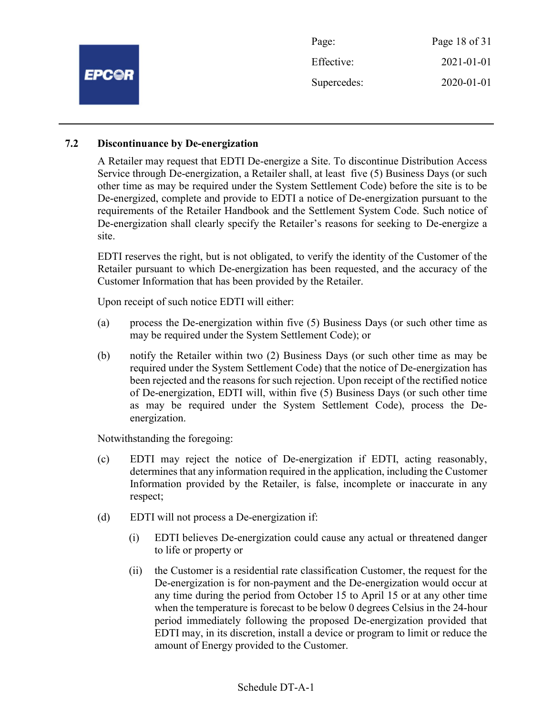

## 7.2 Discontinuance by De-energization

A Retailer may request that EDTI De-energize a Site. To discontinue Distribution Access Service through De-energization, a Retailer shall, at least five (5) Business Days (or such other time as may be required under the System Settlement Code) before the site is to be De-energized, complete and provide to EDTI a notice of De-energization pursuant to the requirements of the Retailer Handbook and the Settlement System Code. Such notice of De-energization shall clearly specify the Retailer's reasons for seeking to De-energize a site.

EDTI reserves the right, but is not obligated, to verify the identity of the Customer of the Retailer pursuant to which De-energization has been requested, and the accuracy of the Customer Information that has been provided by the Retailer.

Upon receipt of such notice EDTI will either:

- (a) process the De-energization within five (5) Business Days (or such other time as may be required under the System Settlement Code); or
- (b) notify the Retailer within two (2) Business Days (or such other time as may be required under the System Settlement Code) that the notice of De-energization has been rejected and the reasons for such rejection. Upon receipt of the rectified notice of De-energization, EDTI will, within five (5) Business Days (or such other time as may be required under the System Settlement Code), process the Deenergization.

Notwithstanding the foregoing:

- (c) EDTI may reject the notice of De-energization if EDTI, acting reasonably, determines that any information required in the application, including the Customer Information provided by the Retailer, is false, incomplete or inaccurate in any respect;
- (d) EDTI will not process a De-energization if:
	- (i) EDTI believes De-energization could cause any actual or threatened danger to life or property or
	- (ii) the Customer is a residential rate classification Customer, the request for the De-energization is for non-payment and the De-energization would occur at any time during the period from October 15 to April 15 or at any other time when the temperature is forecast to be below 0 degrees Celsius in the 24-hour period immediately following the proposed De-energization provided that EDTI may, in its discretion, install a device or program to limit or reduce the amount of Energy provided to the Customer.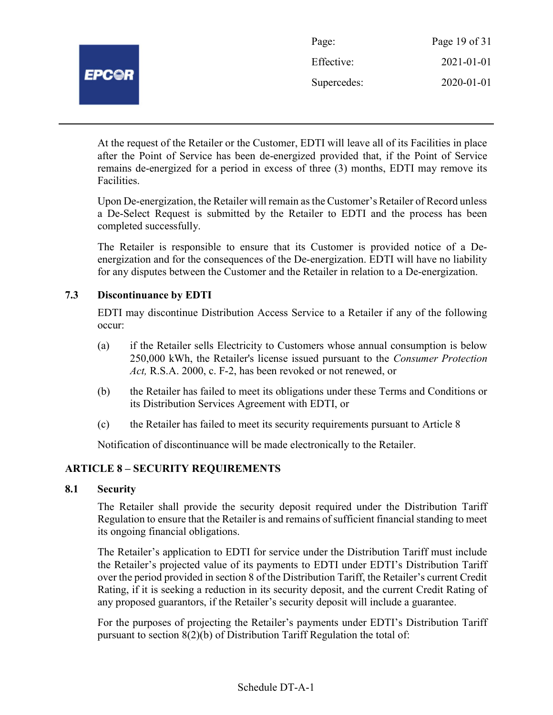

| Page:       | Page 19 of 31 |
|-------------|---------------|
| Effective:  | 2021-01-01    |
| Supercedes: | 2020-01-01    |

At the request of the Retailer or the Customer, EDTI will leave all of its Facilities in place after the Point of Service has been de-energized provided that, if the Point of Service remains de-energized for a period in excess of three (3) months, EDTI may remove its Facilities.

Upon De-energization, the Retailer will remain as the Customer's Retailer of Record unless a De-Select Request is submitted by the Retailer to EDTI and the process has been completed successfully.

The Retailer is responsible to ensure that its Customer is provided notice of a Deenergization and for the consequences of the De-energization. EDTI will have no liability for any disputes between the Customer and the Retailer in relation to a De-energization.

## 7.3 Discontinuance by EDTI

EDTI may discontinue Distribution Access Service to a Retailer if any of the following occur:

- (a) if the Retailer sells Electricity to Customers whose annual consumption is below 250,000 kWh, the Retailer's license issued pursuant to the Consumer Protection Act, R.S.A. 2000, c. F-2, has been revoked or not renewed, or
- (b) the Retailer has failed to meet its obligations under these Terms and Conditions or its Distribution Services Agreement with EDTI, or
- (c) the Retailer has failed to meet its security requirements pursuant to Article 8

Notification of discontinuance will be made electronically to the Retailer.

## ARTICLE 8 – SECURITY REQUIREMENTS

## 8.1 Security

The Retailer shall provide the security deposit required under the Distribution Tariff Regulation to ensure that the Retailer is and remains of sufficient financial standing to meet its ongoing financial obligations.

The Retailer's application to EDTI for service under the Distribution Tariff must include the Retailer's projected value of its payments to EDTI under EDTI's Distribution Tariff over the period provided in section 8 of the Distribution Tariff, the Retailer's current Credit Rating, if it is seeking a reduction in its security deposit, and the current Credit Rating of any proposed guarantors, if the Retailer's security deposit will include a guarantee.

For the purposes of projecting the Retailer's payments under EDTI's Distribution Tariff pursuant to section 8(2)(b) of Distribution Tariff Regulation the total of: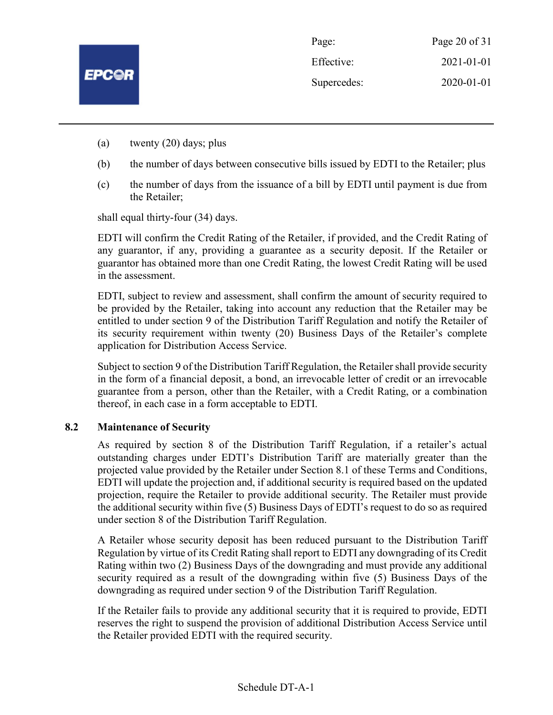

- (a) twenty (20) days; plus
- (b) the number of days between consecutive bills issued by EDTI to the Retailer; plus
- (c) the number of days from the issuance of a bill by EDTI until payment is due from the Retailer;

shall equal thirty-four (34) days.

EDTI will confirm the Credit Rating of the Retailer, if provided, and the Credit Rating of any guarantor, if any, providing a guarantee as a security deposit. If the Retailer or guarantor has obtained more than one Credit Rating, the lowest Credit Rating will be used in the assessment.

EDTI, subject to review and assessment, shall confirm the amount of security required to be provided by the Retailer, taking into account any reduction that the Retailer may be entitled to under section 9 of the Distribution Tariff Regulation and notify the Retailer of its security requirement within twenty (20) Business Days of the Retailer's complete application for Distribution Access Service.

Subject to section 9 of the Distribution Tariff Regulation, the Retailer shall provide security in the form of a financial deposit, a bond, an irrevocable letter of credit or an irrevocable guarantee from a person, other than the Retailer, with a Credit Rating, or a combination thereof, in each case in a form acceptable to EDTI.

## 8.2 Maintenance of Security

As required by section 8 of the Distribution Tariff Regulation, if a retailer's actual outstanding charges under EDTI's Distribution Tariff are materially greater than the projected value provided by the Retailer under Section 8.1 of these Terms and Conditions, EDTI will update the projection and, if additional security is required based on the updated projection, require the Retailer to provide additional security. The Retailer must provide the additional security within five (5) Business Days of EDTI's request to do so as required under section 8 of the Distribution Tariff Regulation.

A Retailer whose security deposit has been reduced pursuant to the Distribution Tariff Regulation by virtue of its Credit Rating shall report to EDTI any downgrading of its Credit Rating within two (2) Business Days of the downgrading and must provide any additional security required as a result of the downgrading within five (5) Business Days of the downgrading as required under section 9 of the Distribution Tariff Regulation.

If the Retailer fails to provide any additional security that it is required to provide, EDTI reserves the right to suspend the provision of additional Distribution Access Service until the Retailer provided EDTI with the required security.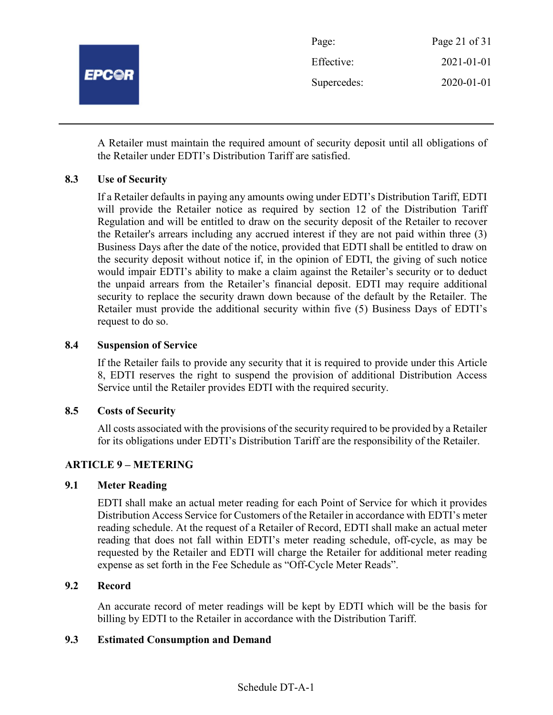

A Retailer must maintain the required amount of security deposit until all obligations of the Retailer under EDTI's Distribution Tariff are satisfied.

## 8.3 Use of Security

If a Retailer defaults in paying any amounts owing under EDTI's Distribution Tariff, EDTI will provide the Retailer notice as required by section 12 of the Distribution Tariff Regulation and will be entitled to draw on the security deposit of the Retailer to recover the Retailer's arrears including any accrued interest if they are not paid within three (3) Business Days after the date of the notice, provided that EDTI shall be entitled to draw on the security deposit without notice if, in the opinion of EDTI, the giving of such notice would impair EDTI's ability to make a claim against the Retailer's security or to deduct the unpaid arrears from the Retailer's financial deposit. EDTI may require additional security to replace the security drawn down because of the default by the Retailer. The Retailer must provide the additional security within five (5) Business Days of EDTI's request to do so.

## 8.4 Suspension of Service

If the Retailer fails to provide any security that it is required to provide under this Article 8, EDTI reserves the right to suspend the provision of additional Distribution Access Service until the Retailer provides EDTI with the required security.

## 8.5 Costs of Security

All costs associated with the provisions of the security required to be provided by a Retailer for its obligations under EDTI's Distribution Tariff are the responsibility of the Retailer.

## ARTICLE 9 – METERING

## 9.1 Meter Reading

EDTI shall make an actual meter reading for each Point of Service for which it provides Distribution Access Service for Customers of the Retailer in accordance with EDTI's meter reading schedule. At the request of a Retailer of Record, EDTI shall make an actual meter reading that does not fall within EDTI's meter reading schedule, off-cycle, as may be requested by the Retailer and EDTI will charge the Retailer for additional meter reading expense as set forth in the Fee Schedule as "Off-Cycle Meter Reads".

## 9.2 Record

An accurate record of meter readings will be kept by EDTI which will be the basis for billing by EDTI to the Retailer in accordance with the Distribution Tariff.

## 9.3 Estimated Consumption and Demand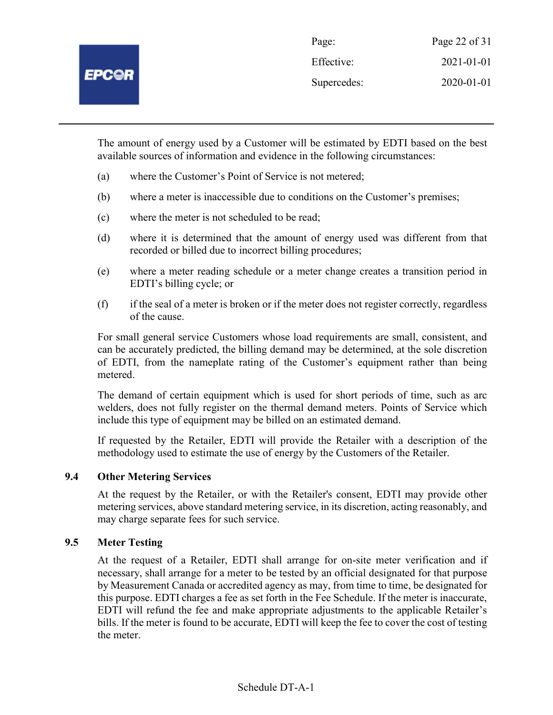The amount of energy used by a Customer will be estimated by EDTI based on the best available sources of information and evidence in the following circumstances:

- (a) where the Customer's Point of Service is not metered;
- (b) where a meter is inaccessible due to conditions on the Customer's premises;
- (c) where the meter is not scheduled to be read;
- (d) where it is determined that the amount of energy used was different from that recorded or billed due to incorrect billing procedures;
- (e) where a meter reading schedule or a meter change creates a transition period in EDTI's billing cycle; or
- (f) if the seal of a meter is broken or if the meter does not register correctly, regardless of the cause.

For small general service Customers whose load requirements are small, consistent, and can be accurately predicted, the billing demand may be determined, at the sole discretion of EDTI, from the nameplate rating of the Customer's equipment rather than being metered.

The demand of certain equipment which is used for short periods of time, such as arc welders, does not fully register on the thermal demand meters. Points of Service which include this type of equipment may be billed on an estimated demand.

If requested by the Retailer, EDTI will provide the Retailer with a description of the methodology used to estimate the use of energy by the Customers of the Retailer.

## 9.4 Other Metering Services

At the request by the Retailer, or with the Retailer's consent, EDTI may provide other metering services, above standard metering service, in its discretion, acting reasonably, and may charge separate fees for such service.

## 9.5 Meter Testing

At the request of a Retailer, EDTI shall arrange for on-site meter verification and if necessary, shall arrange for a meter to be tested by an official designated for that purpose by Measurement Canada or accredited agency as may, from time to time, be designated for this purpose. EDTI charges a fee as set forth in the Fee Schedule. If the meter is inaccurate, EDTI will refund the fee and make appropriate adjustments to the applicable Retailer's bills. If the meter is found to be accurate, EDTI will keep the fee to cover the cost of testing the meter.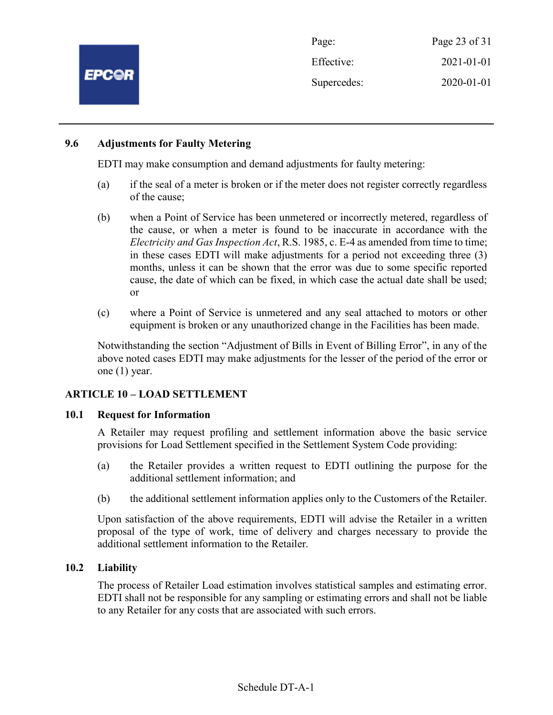

Page: Page 23 of 31 Effective: 2021-01-01 Supercedes: 2020-01-01

## 9.6 Adjustments for Faulty Metering

EDTI may make consumption and demand adjustments for faulty metering:

- (a) if the seal of a meter is broken or if the meter does not register correctly regardless of the cause;
- (b) when a Point of Service has been unmetered or incorrectly metered, regardless of the cause, or when a meter is found to be inaccurate in accordance with the Electricity and Gas Inspection Act, R.S. 1985, c. E-4 as amended from time to time; in these cases EDTI will make adjustments for a period not exceeding three (3) months, unless it can be shown that the error was due to some specific reported cause, the date of which can be fixed, in which case the actual date shall be used; or
- (c) where a Point of Service is unmetered and any seal attached to motors or other equipment is broken or any unauthorized change in the Facilities has been made.

Notwithstanding the section "Adjustment of Bills in Event of Billing Error", in any of the above noted cases EDTI may make adjustments for the lesser of the period of the error or one (1) year.

## ARTICLE 10 – LOAD SETTLEMENT

## 10.1 Request for Information

A Retailer may request profiling and settlement information above the basic service provisions for Load Settlement specified in the Settlement System Code providing:

- (a) the Retailer provides a written request to EDTI outlining the purpose for the additional settlement information; and
- (b) the additional settlement information applies only to the Customers of the Retailer.

Upon satisfaction of the above requirements, EDTI will advise the Retailer in a written proposal of the type of work, time of delivery and charges necessary to provide the additional settlement information to the Retailer.

## 10.2 Liability

The process of Retailer Load estimation involves statistical samples and estimating error. EDTI shall not be responsible for any sampling or estimating errors and shall not be liable to any Retailer for any costs that are associated with such errors.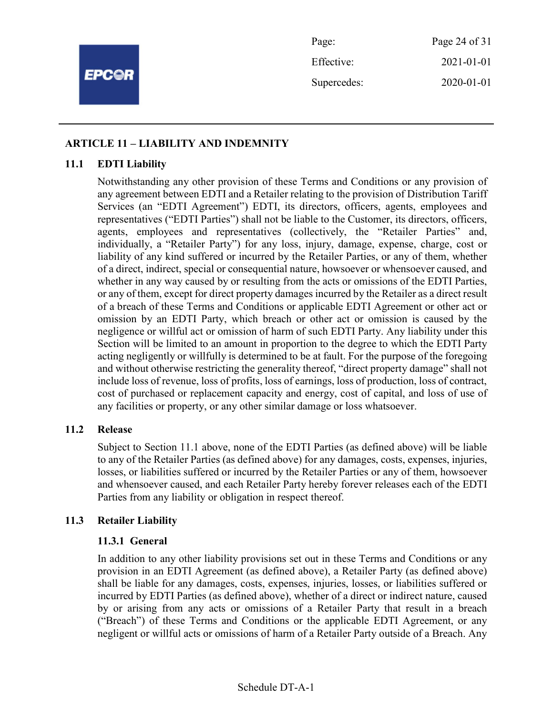

Page: Page 24 of 31 Effective: 2021-01-01 Supercedes: 2020-01-01

## ARTICLE 11 – LIABILITY AND INDEMNITY

## 11.1 EDTI Liability

Notwithstanding any other provision of these Terms and Conditions or any provision of any agreement between EDTI and a Retailer relating to the provision of Distribution Tariff Services (an "EDTI Agreement") EDTI, its directors, officers, agents, employees and representatives ("EDTI Parties") shall not be liable to the Customer, its directors, officers, agents, employees and representatives (collectively, the "Retailer Parties" and, individually, a "Retailer Party") for any loss, injury, damage, expense, charge, cost or liability of any kind suffered or incurred by the Retailer Parties, or any of them, whether of a direct, indirect, special or consequential nature, howsoever or whensoever caused, and whether in any way caused by or resulting from the acts or omissions of the EDTI Parties, or any of them, except for direct property damages incurred by the Retailer as a direct result of a breach of these Terms and Conditions or applicable EDTI Agreement or other act or omission by an EDTI Party, which breach or other act or omission is caused by the negligence or willful act or omission of harm of such EDTI Party. Any liability under this Section will be limited to an amount in proportion to the degree to which the EDTI Party acting negligently or willfully is determined to be at fault. For the purpose of the foregoing and without otherwise restricting the generality thereof, "direct property damage" shall not include loss of revenue, loss of profits, loss of earnings, loss of production, loss of contract, cost of purchased or replacement capacity and energy, cost of capital, and loss of use of any facilities or property, or any other similar damage or loss whatsoever.

## 11.2 Release

Subject to Section 11.1 above, none of the EDTI Parties (as defined above) will be liable to any of the Retailer Parties (as defined above) for any damages, costs, expenses, injuries, losses, or liabilities suffered or incurred by the Retailer Parties or any of them, howsoever and whensoever caused, and each Retailer Party hereby forever releases each of the EDTI Parties from any liability or obligation in respect thereof.

## 11.3 Retailer Liability

## 11.3.1 General

In addition to any other liability provisions set out in these Terms and Conditions or any provision in an EDTI Agreement (as defined above), a Retailer Party (as defined above) shall be liable for any damages, costs, expenses, injuries, losses, or liabilities suffered or incurred by EDTI Parties (as defined above), whether of a direct or indirect nature, caused by or arising from any acts or omissions of a Retailer Party that result in a breach ("Breach") of these Terms and Conditions or the applicable EDTI Agreement, or any negligent or willful acts or omissions of harm of a Retailer Party outside of a Breach. Any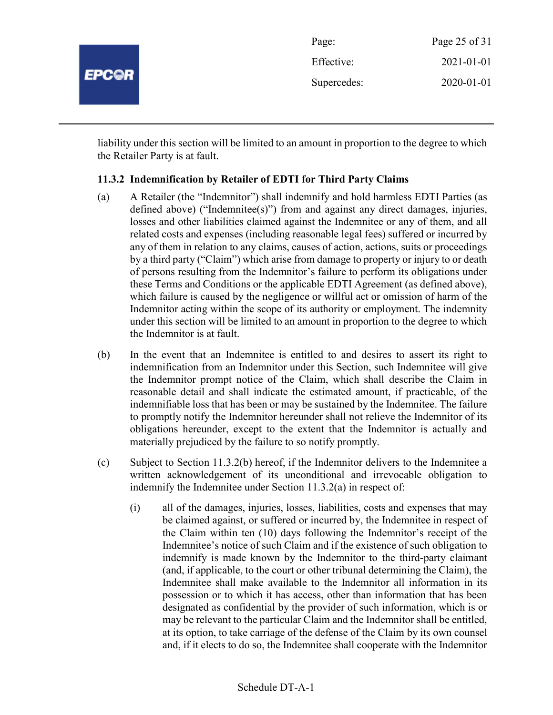

liability under this section will be limited to an amount in proportion to the degree to which the Retailer Party is at fault.

## 11.3.2 Indemnification by Retailer of EDTI for Third Party Claims

- (a) A Retailer (the "Indemnitor") shall indemnify and hold harmless EDTI Parties (as defined above) ("Indemnitee(s)") from and against any direct damages, injuries, losses and other liabilities claimed against the Indemnitee or any of them, and all related costs and expenses (including reasonable legal fees) suffered or incurred by any of them in relation to any claims, causes of action, actions, suits or proceedings by a third party ("Claim") which arise from damage to property or injury to or death of persons resulting from the Indemnitor's failure to perform its obligations under these Terms and Conditions or the applicable EDTI Agreement (as defined above), which failure is caused by the negligence or willful act or omission of harm of the Indemnitor acting within the scope of its authority or employment. The indemnity under this section will be limited to an amount in proportion to the degree to which the Indemnitor is at fault.
- (b) In the event that an Indemnitee is entitled to and desires to assert its right to indemnification from an Indemnitor under this Section, such Indemnitee will give the Indemnitor prompt notice of the Claim, which shall describe the Claim in reasonable detail and shall indicate the estimated amount, if practicable, of the indemnifiable loss that has been or may be sustained by the Indemnitee. The failure to promptly notify the Indemnitor hereunder shall not relieve the Indemnitor of its obligations hereunder, except to the extent that the Indemnitor is actually and materially prejudiced by the failure to so notify promptly.
- (c) Subject to Section 11.3.2(b) hereof, if the Indemnitor delivers to the Indemnitee a written acknowledgement of its unconditional and irrevocable obligation to indemnify the Indemnitee under Section 11.3.2(a) in respect of:
	- (i) all of the damages, injuries, losses, liabilities, costs and expenses that may be claimed against, or suffered or incurred by, the Indemnitee in respect of the Claim within ten (10) days following the Indemnitor's receipt of the Indemnitee's notice of such Claim and if the existence of such obligation to indemnify is made known by the Indemnitor to the third-party claimant (and, if applicable, to the court or other tribunal determining the Claim), the Indemnitee shall make available to the Indemnitor all information in its possession or to which it has access, other than information that has been designated as confidential by the provider of such information, which is or may be relevant to the particular Claim and the Indemnitor shall be entitled, at its option, to take carriage of the defense of the Claim by its own counsel and, if it elects to do so, the Indemnitee shall cooperate with the Indemnitor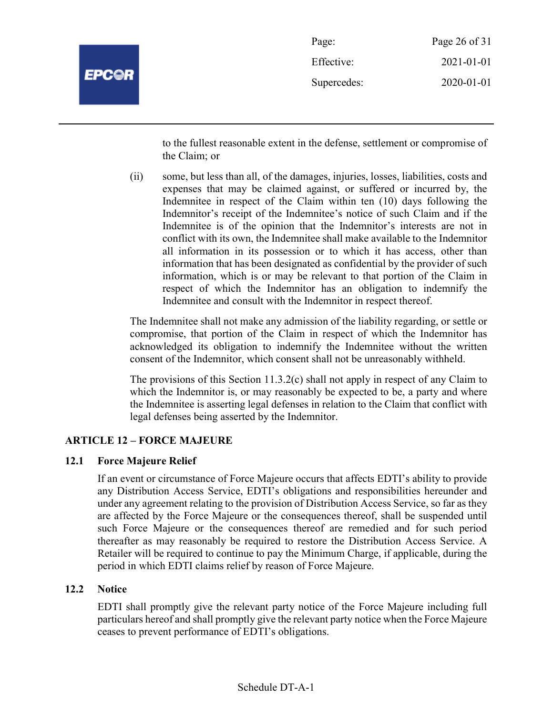

| Page:       | Page 26 of 31 |
|-------------|---------------|
| Effective:  | 2021-01-01    |
| Supercedes: | 2020-01-01    |

to the fullest reasonable extent in the defense, settlement or compromise of the Claim; or

(ii) some, but less than all, of the damages, injuries, losses, liabilities, costs and expenses that may be claimed against, or suffered or incurred by, the Indemnitee in respect of the Claim within ten (10) days following the Indemnitor's receipt of the Indemnitee's notice of such Claim and if the Indemnitee is of the opinion that the Indemnitor's interests are not in conflict with its own, the Indemnitee shall make available to the Indemnitor all information in its possession or to which it has access, other than information that has been designated as confidential by the provider of such information, which is or may be relevant to that portion of the Claim in respect of which the Indemnitor has an obligation to indemnify the Indemnitee and consult with the Indemnitor in respect thereof.

The Indemnitee shall not make any admission of the liability regarding, or settle or compromise, that portion of the Claim in respect of which the Indemnitor has acknowledged its obligation to indemnify the Indemnitee without the written consent of the Indemnitor, which consent shall not be unreasonably withheld.

The provisions of this Section 11.3.2(c) shall not apply in respect of any Claim to which the Indemnitor is, or may reasonably be expected to be, a party and where the Indemnitee is asserting legal defenses in relation to the Claim that conflict with legal defenses being asserted by the Indemnitor.

## ARTICLE 12 – FORCE MAJEURE

## 12.1 Force Majeure Relief

If an event or circumstance of Force Majeure occurs that affects EDTI's ability to provide any Distribution Access Service, EDTI's obligations and responsibilities hereunder and under any agreement relating to the provision of Distribution Access Service, so far as they are affected by the Force Majeure or the consequences thereof, shall be suspended until such Force Majeure or the consequences thereof are remedied and for such period thereafter as may reasonably be required to restore the Distribution Access Service. A Retailer will be required to continue to pay the Minimum Charge, if applicable, during the period in which EDTI claims relief by reason of Force Majeure.

## 12.2 Notice

EDTI shall promptly give the relevant party notice of the Force Majeure including full particulars hereof and shall promptly give the relevant party notice when the Force Majeure ceases to prevent performance of EDTI's obligations.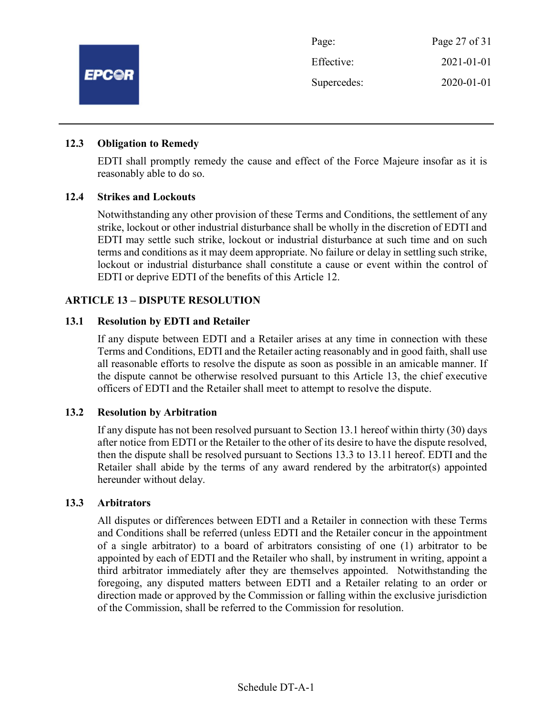

| Page:       | Page 27 of 31 |
|-------------|---------------|
| Effective:  | 2021-01-01    |
| Supercedes: | 2020-01-01    |

## 12.3 Obligation to Remedy

EDTI shall promptly remedy the cause and effect of the Force Majeure insofar as it is reasonably able to do so.

## 12.4 Strikes and Lockouts

Notwithstanding any other provision of these Terms and Conditions, the settlement of any strike, lockout or other industrial disturbance shall be wholly in the discretion of EDTI and EDTI may settle such strike, lockout or industrial disturbance at such time and on such terms and conditions as it may deem appropriate. No failure or delay in settling such strike, lockout or industrial disturbance shall constitute a cause or event within the control of EDTI or deprive EDTI of the benefits of this Article 12.

## ARTICLE 13 – DISPUTE RESOLUTION

## 13.1 Resolution by EDTI and Retailer

If any dispute between EDTI and a Retailer arises at any time in connection with these Terms and Conditions, EDTI and the Retailer acting reasonably and in good faith, shall use all reasonable efforts to resolve the dispute as soon as possible in an amicable manner. If the dispute cannot be otherwise resolved pursuant to this Article 13, the chief executive officers of EDTI and the Retailer shall meet to attempt to resolve the dispute.

## 13.2 Resolution by Arbitration

If any dispute has not been resolved pursuant to Section 13.1 hereof within thirty (30) days after notice from EDTI or the Retailer to the other of its desire to have the dispute resolved, then the dispute shall be resolved pursuant to Sections 13.3 to 13.11 hereof. EDTI and the Retailer shall abide by the terms of any award rendered by the arbitrator(s) appointed hereunder without delay.

## 13.3 Arbitrators

All disputes or differences between EDTI and a Retailer in connection with these Terms and Conditions shall be referred (unless EDTI and the Retailer concur in the appointment of a single arbitrator) to a board of arbitrators consisting of one (1) arbitrator to be appointed by each of EDTI and the Retailer who shall, by instrument in writing, appoint a third arbitrator immediately after they are themselves appointed. Notwithstanding the foregoing, any disputed matters between EDTI and a Retailer relating to an order or direction made or approved by the Commission or falling within the exclusive jurisdiction of the Commission, shall be referred to the Commission for resolution.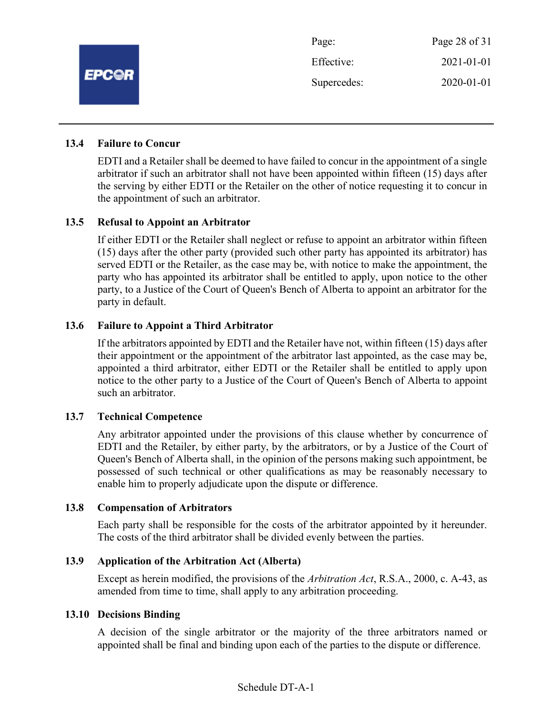

## 13.4 Failure to Concur

EDTI and a Retailer shall be deemed to have failed to concur in the appointment of a single arbitrator if such an arbitrator shall not have been appointed within fifteen (15) days after the serving by either EDTI or the Retailer on the other of notice requesting it to concur in the appointment of such an arbitrator.

## 13.5 Refusal to Appoint an Arbitrator

If either EDTI or the Retailer shall neglect or refuse to appoint an arbitrator within fifteen (15) days after the other party (provided such other party has appointed its arbitrator) has served EDTI or the Retailer, as the case may be, with notice to make the appointment, the party who has appointed its arbitrator shall be entitled to apply, upon notice to the other party, to a Justice of the Court of Queen's Bench of Alberta to appoint an arbitrator for the party in default.

#### 13.6 Failure to Appoint a Third Arbitrator

If the arbitrators appointed by EDTI and the Retailer have not, within fifteen (15) days after their appointment or the appointment of the arbitrator last appointed, as the case may be, appointed a third arbitrator, either EDTI or the Retailer shall be entitled to apply upon notice to the other party to a Justice of the Court of Queen's Bench of Alberta to appoint such an arbitrator.

#### 13.7 Technical Competence

Any arbitrator appointed under the provisions of this clause whether by concurrence of EDTI and the Retailer, by either party, by the arbitrators, or by a Justice of the Court of Queen's Bench of Alberta shall, in the opinion of the persons making such appointment, be possessed of such technical or other qualifications as may be reasonably necessary to enable him to properly adjudicate upon the dispute or difference.

#### 13.8 Compensation of Arbitrators

Each party shall be responsible for the costs of the arbitrator appointed by it hereunder. The costs of the third arbitrator shall be divided evenly between the parties.

## 13.9 Application of the Arbitration Act (Alberta)

Except as herein modified, the provisions of the Arbitration Act, R.S.A., 2000, c. A-43, as amended from time to time, shall apply to any arbitration proceeding.

#### 13.10 Decisions Binding

A decision of the single arbitrator or the majority of the three arbitrators named or appointed shall be final and binding upon each of the parties to the dispute or difference.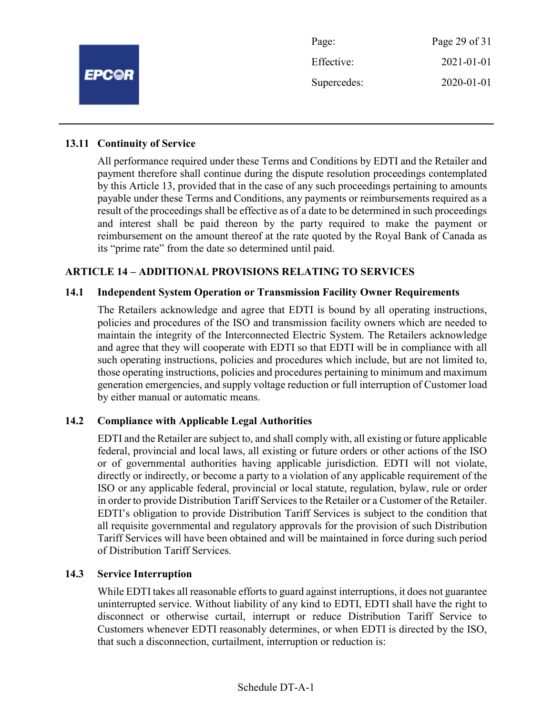

## 13.11 Continuity of Service

All performance required under these Terms and Conditions by EDTI and the Retailer and payment therefore shall continue during the dispute resolution proceedings contemplated by this Article 13, provided that in the case of any such proceedings pertaining to amounts payable under these Terms and Conditions, any payments or reimbursements required as a result of the proceedings shall be effective as of a date to be determined in such proceedings and interest shall be paid thereon by the party required to make the payment or reimbursement on the amount thereof at the rate quoted by the Royal Bank of Canada as its "prime rate" from the date so determined until paid.

## ARTICLE 14 – ADDITIONAL PROVISIONS RELATING TO SERVICES

## 14.1 Independent System Operation or Transmission Facility Owner Requirements

The Retailers acknowledge and agree that EDTI is bound by all operating instructions, policies and procedures of the ISO and transmission facility owners which are needed to maintain the integrity of the Interconnected Electric System. The Retailers acknowledge and agree that they will cooperate with EDTI so that EDTI will be in compliance with all such operating instructions, policies and procedures which include, but are not limited to, those operating instructions, policies and procedures pertaining to minimum and maximum generation emergencies, and supply voltage reduction or full interruption of Customer load by either manual or automatic means.

## 14.2 Compliance with Applicable Legal Authorities

EDTI and the Retailer are subject to, and shall comply with, all existing or future applicable federal, provincial and local laws, all existing or future orders or other actions of the ISO or of governmental authorities having applicable jurisdiction. EDTI will not violate, directly or indirectly, or become a party to a violation of any applicable requirement of the ISO or any applicable federal, provincial or local statute, regulation, bylaw, rule or order in order to provide Distribution Tariff Services to the Retailer or a Customer of the Retailer. EDTI's obligation to provide Distribution Tariff Services is subject to the condition that all requisite governmental and regulatory approvals for the provision of such Distribution Tariff Services will have been obtained and will be maintained in force during such period of Distribution Tariff Services.

## 14.3 Service Interruption

While EDTI takes all reasonable efforts to guard against interruptions, it does not guarantee uninterrupted service. Without liability of any kind to EDTI, EDTI shall have the right to disconnect or otherwise curtail, interrupt or reduce Distribution Tariff Service to Customers whenever EDTI reasonably determines, or when EDTI is directed by the ISO, that such a disconnection, curtailment, interruption or reduction is: